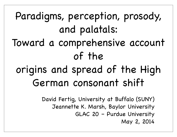Paradigms, perception, prosody, and palatals: Toward a comprehensive account

# origins and spread of the High German consonant shift

of the

David Fertig, University at Buffalo (SUNY) Jeannette K. Marsh, Baylor University GLAC 20 – Purdue University May 2, 2014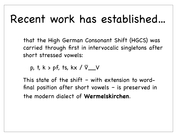#### Recent work has established...

that the High German Consonant Shift (HGCS) was carried through first in intervocalic singletons after short stressed vowels:

 $\circ$  p, t, k > pf, ts, kx /  $\check{V}$  /

This state of the shift – with extension to wordfinal position after short vowels – is preserved in the modern dialect of **Wermelskirchen**.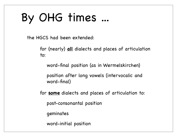# By OHG times ...

the HGCS had been extended:

- for (nearly) **all** dialects and places of articulation to:
	- word-final position (as in Wermelskirchen)
	- position after long vowels (intervocalic and word-final)
- for **some** dialects and places of articulation to:
	- post-consonantal position
	- geminates
	- word-initial position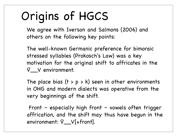# Origins of HGCS

We agree with Iverson and Salmons (2006) and others on the following key points:

- The well-known Germanic preference for bimoraic stressed syllables (Prokosch's Law) was a key motivation for the original shift to affricates in the V̆\_\_V environment.
- The place bias  $(t > p > k)$  seen in other environments in OHG and modern dialects was operative from the very beginnings of the shift.
- Front especially high front vowels often trigger affrication, and the shift may thus have begun in the environment: V̆\_\_V[+front].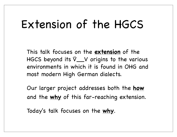### Extension of the HGCS

This talk focuses on the **extension** of the HGCS beyond its  $V_{\text{av}}$  v origins to the various environments in which it is found in OHG and most modern High German dialects.

Our larger project addresses both the **how** and the **why** of this far-reaching extension.

Today's talk focuses on the **why**.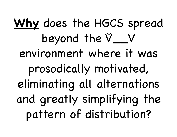**Why** does the HGCS spread beyond the V̆\_\_V environment where it was prosodically motivated, eliminating all alternations and greatly simplifying the pattern of distribution?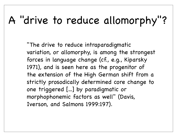#### A "drive to reduce allomorphy"?

"The drive to reduce intraparadigmatic variation, or allomorphy, is among the strongest forces in language change (cf., e.g., Kiparsky 1971), and is seen here as the progenitor of the extension of the High German shift from a strictly prosodically determined core change to one triggered [...] by paradigmatic or morphophonemic factors as well" (Davis, Iverson, and Salmons 1999:197).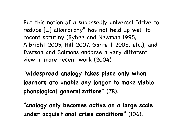But this notion of a supposedly universal "drive to reduce [...] allomorphy" has not held up well to recent scrutiny (Bybee and Newman 1995, Albright 2005, Hill 2007, Garrett 2008, etc.), and Iverson and Salmons endorse a very different view in more recent work (2004):

"**widespread analogy takes place only when learners are unable any longer to make viable phonological generalizations**" (78).

**"analogy only becomes active on a large scale under acquisitional crisis conditions"** (106).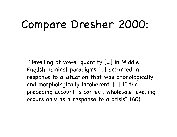#### Compare Dresher 2000:

 "levelling of vowel quantity [...] in Middle English nominal paradigms [...] occurred in response to a situation that was phonologically and morphologically incoherent. [...] if the preceding account is correct, wholesale levelling occurs only as a response to a crisis" (60).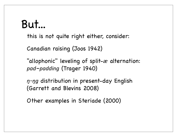#### But...

this is not quite right either, consider:

Canadian raising (Joos 1942)

"allophonic" leveling of split-*æ* alternation: *pad*–*padding* (Trager 1940)

- *n-ng* distribution in present-day English (Garrett and Blevins 2008)
- Other examples in Steriade (2000)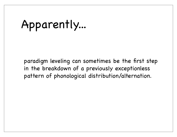## Apparently...

paradigm leveling can sometimes be the first step in the breakdown of a previously exceptionless pattern of phonological distribution/alternation.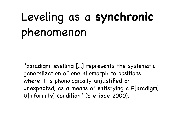# Leveling as a **synchronic** phenomenon

"paradigm levelling [...] represents the systematic generalization of one allomorph to positions where it is phonologically unjustified or unexpected, as a means of satisfying a P[aradigm] U[niformity] condition" (Steriade 2000).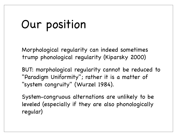# Our position

Morphological regularity can indeed sometimes trump phonological regularity (Kiparsky 2000)

BUT: morphological regularity cannot be reduced to "Paradigm Uniformity"; rather it is a matter of "system congruity" (Wurzel 1984).

System-congruous alternations are unlikely to be leveled (especially if they are also phonologically regular)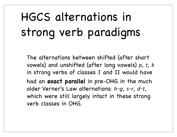# HGCS alternations in strong verb paradigms

The alternations between shifted (after short vowels) and unshifted (after long vowels) *p*, *t*, *k* in strong verbs of classes I and II would have had an **exact parallel** in pre-OHG in the much older Verner's Law alternations: *h*~*g*, *s*~*r*, *d*~*t*, which were still largely intact in these strong verb classes in OHG.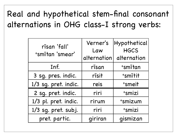#### Real and hypothetical stem-final consonant alternations in OHG class-I strong verbs:

| rīsan 'fall'<br>*smītan 'smear' | Verner's<br>Law<br>alternation | Hypothetical<br><b>HGCS</b><br>alternation |
|---------------------------------|--------------------------------|--------------------------------------------|
| Inf.                            | rīsan                          | +smītan                                    |
| 3 sg. pres. indic.              | rīsit                          | +smītit                                    |
| 1/3 sg. pret. indic.            | reis                           | +smeit                                     |
| 2 sg. pret. indic.              | riri                           | <sup>+</sup> smizi                         |
| 1/3 pl. pret. indic.            | rirum                          | +smizum                                    |
| 1/3 sg. pret. subj.             | riri                           | <sup>+</sup> smizi                         |
| pret. partic.                   | qiriran                        | qismizan                                   |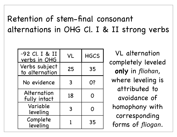#### Retention of stem-final consonant alternations in OHG Cl. I & II strong verbs

| ~92 Cl. I & II<br><u>verbs in OHG</u> | <b>VL</b> | <b>HGCS</b> |
|---------------------------------------|-----------|-------------|
| Verbs subject<br>to alternation       | 25        | 35          |
| No evidence                           | 3         | <b>O?</b>   |
| Alternation<br>fully intact           | 18        |             |
| Variable<br>leveling                  | 3         |             |
| Complete<br>leveling                  |           | 35          |

VL alternation completely leveled **only** in *fliohan*, where leveling is attributed to avoidance of homophony with corresponding forms of *fliogan*.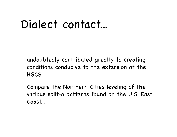#### Dialect contact...

undoubtedly contributed greatly to creating conditions conducive to the extension of the HGCS.

Compare the Northern Cities leveling of the various split-*a* patterns found on the U.S. East Coast...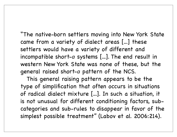"The native-born settlers moving into New York State came from a variety of dialect areas [...] these settlers would have a variety of different and incompatible short-*a* systems [...]. The end result in western New York State was none of these, but the general raised short-*a* pattern of the NCS.

 This general raising pattern appears to be the type of simplification that often occurs in situations of radical dialect mixture [...]. In such a situation, it is not unusual for different conditioning factors, subcategories and sub-rules to disappear in favor of the simplest possible treatment" (Labov et al. 2006:214).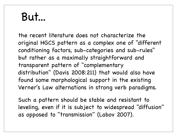#### But...

the recent literature does not characterize the original HGCS pattern as a complex one of "different conditioning factors, sub-categories and sub-rules" but rather as a maximally straightforward and transparent pattern of "complementary distribution" (Davis 2008:211) that would also have found some morphological support in the existing Verner's Law alternations in strong verb paradigms.

Such a pattern should be stable and resistant to leveling, even if it is subject to widespread "diffusion" as opposed to "transmission" (Labov 2007).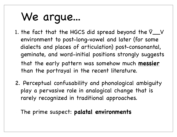# We argue...

- 1. the fact that the HGCS did spread beyond the V̆\_\_V environment to post-long-vowel and later (for some dialects and places of articulation) post-consonantal, geminate, and word-initial positions strongly suggests that the early pattern was somehow much **messier** than the portrayal in the recent literature.
- 2. Perceptual confusability and phonological ambiguity play a pervasive role in analogical change that is rarely recognized in traditional approaches.
- The prime suspect: **palatal environments**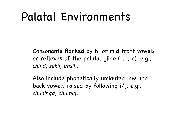### Palatal Environments

Consonants flanked by hi or mid front vowels or reflexes of the palatal glide (j, i, e), e.g., *chind*, *sekil*, *unsih*.

Also include phonetically umlauted low and back vowels raised by following i/j, e.g., *chuninga*, *chumig*.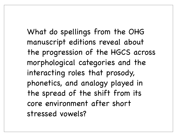What do spellings from the OHG manuscript editions reveal about the progression of the HGCS across morphological categories and the interacting roles that prosody, phonetics, and analogy played in the spread of the shift from its core environment after short stressed vowels?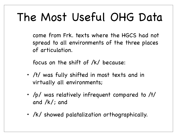# The Most Useful OHG Data

come from Frk. texts where the HGCS had not spread to all environments of the three places of articulation.

focus on the shift of /k/ because:

- /t/ was fully shifted in most texts and in virtually all environments;
- /p/ was relatively infrequent compared to /t/ and /k/; and
- /k/ showed palatalization orthographically.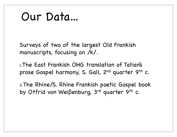#### Our Data...

Surveys of two of the largest Old Frankish manuscripts, focusing on /k/.

1.The East Frankish OHG translation of Tatian's prose Gospel harmony, S. Gall, 2<sup>nd</sup> quarter 9<sup>th</sup> c.

2.The Rhine/S. Rhine Frankish poetic Gospel book by Otfrid von Weiβenburg, 3<sup>rd</sup> quarter 9<sup>th</sup> c.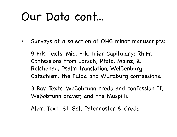## Our Data cont...

3. Surveys of a selection of OHG minor manuscripts:

9 Frk. Texts: Mid. Frk. Trier Capitulary; Rh.Fr. Confessions from Lorsch, Pfalz, Mainz, & Reichenau; Psalm translation, Weiβenburg Catechism, the Fulda and Würzburg confessions.

3 Bav. Texts: Weβobrunn credo and confession II, Weβobrunn prayer, and the Muspilli.

Alem. Text: St. Gall Paternoster & Credo.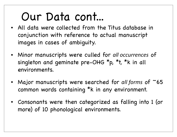# Our Data cont...

- All data were collected from the Titus database in conjunction with reference to actual manuscript images in cases of ambiguity.
- Minor manuscripts were culled for all occurrences of singleton and geminate pre-OHG \*p, \*t, \*k in all environments.
- Major manuscripts were searched for *all forms* of ~65 common words containing \*k in any environment.
- Consonants were then categorized as falling into 1 (or more) of 10 phonological environments.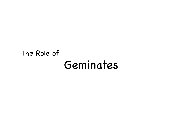#### Geminates The Role of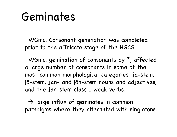#### Geminates

WGmc. Consonant gemination was completed prior to the affricate stage of the HGCS.

WGmc. gemination of consonants by \*j affected a large number of consonants in some of the most common morphological categories: ja-stem, jō-stem, jan- and jōn-stem nouns and adjectives, and the jan-stem class 1 weak verbs.

 $\rightarrow$  large influx of geminates in common paradigms where they alternated with singletons.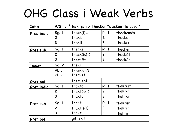## OHG Class i Weak Verbs

| Infin            |                | WGmc *thak-jan > thecken~decken 'to cover' |                |           |
|------------------|----------------|--------------------------------------------|----------------|-----------|
| Pres indic       | Sq.1           | theck(i)u                                  | <b>Pl. 1</b>   | theckemes |
|                  | $\overline{c}$ | thekis                                     | $\overline{c}$ | thecket   |
|                  | 3              | thekit                                     | 3              | theckent  |
| <u>Pres subi</u> | Sg. 1          | thecke                                     | Pl. 1          | theckem   |
|                  | $\overline{c}$ | theckes(t)                                 | $\overline{c}$ | thecket   |
|                  | 3              | thecket                                    | 3              | thecken   |
| <u>Imper</u>     | Sg. 2          | theki                                      |                |           |
|                  | <b>Pl. 1</b>   | theckemes                                  |                |           |
|                  | Pl. 2          | thecket                                    |                |           |
| Pres ppl         |                | theckenti                                  |                |           |
| Pret indic       | Sg. 1          | thakta                                     | Pl. 1          | thaktum   |
|                  | $\overline{c}$ | $that$ $\bar{o}s(t)$                       | $\overline{c}$ | thaktut   |
|                  | 3              | thakta                                     | 3              | thaktun   |
| <u>Pret subi</u> | Sg. 1          | thakti                                     | <b>PI. 1</b>   | thaktīm   |
|                  | $\overline{2}$ | $that$ $\overline{15}(t)$                  | $\overline{2}$ | thaktīt   |
|                  | 3              | thakti                                     | 3              | thaktīn   |
| Pret ppl         |                | githekit                                   |                |           |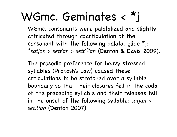# WGmc. Geminates < \*j

WGmc. consonants were palatalized and slightly affricated through coarticulation of the consonant with the following palatal glide \*j: \*satjan > sett<sup>j</sup>an > sett<sup>s(j)</sup>an (Denton & Davis 2009).

The prosodic preference for heavy stressed syllables (Prokosh's Law) caused these articulations to be stretched over a syllable boundary so that their closures fell in the coda of the preceding syllable and their releases fell in the onset of the following syllable: *satjan* > *set.ts an* (Denton 2007).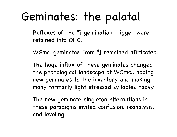# Geminates: the palatal

Reflexes of the \*j gemination trigger were retained into OHG.

WGmc. geminates from \*j remained affricated.

The huge influx of these geminates changed the phonological landscape of WGmc., adding new geminates to the inventory and making many formerly light stressed syllables heavy.

The new geminate-singleton alternations in these paradigms invited confusion, reanalysis, and leveling.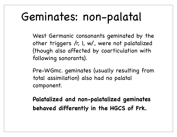# Geminates: non-palatal

West Germanic consonants geminated by the other triggers /r, l, w/, were not palatalized (though also affected by coarticulation with following sonorants).

Pre-WGmc. geminates (usually resulting from total assimilation) also had no palatal component.

**Palatalized and non-palatalized geminates behaved differently in the HGCS of Frk.**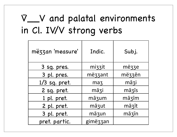#### V̄\_\_V and palatal environments in Cl. IV/V strong verbs

| mëzzan 'measure' | Indic.   | Subj.  |
|------------------|----------|--------|
| 3 sq. pres.      | mizzit   | më33e  |
| 3 pl. pres.      | mëzzant  | mëzzēn |
| $1/3$ sg. pret.  | maz      | māzi   |
| 2 sq. pret.      | māzi     | māzīs  |
| 1 pl. pret.      | māzum    | māzīm  |
| 2 pl. pret.      | māzut    | māzīt  |
| 3 pl. pret.      | māzun    | māzīn  |
| pret. partic.    | gimëzzan |        |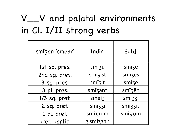#### V̄\_\_V and palatal environments in Cl. I/II strong verbs

| smīzan 'smear' | Indic.    | Subj.   |
|----------------|-----------|---------|
| 1st sg. pres.  | smīzu     | smize   |
| 2nd sg. pres.  | smīzist   | smīzēs  |
| 3 sq. pres.    | smīzit    | smīze   |
| 3 pl. pres.    | smīzant   | smīzēn  |
| 1/3 sg. pret.  | smeiz     | smizzi  |
| 2 sg. pret.    | smizzi    | smizzīs |
| 1 pl. pret.    | smizzum   | smizzīm |
| pret. partic.  | gismizzan |         |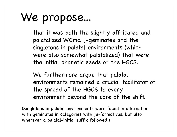# We propose...

that it was both the slightly affricated and palatalized WGmc. j-geminates and the singletons in palatal environments (which were also somewhat palatalized) that were the initial phonetic seeds of the HGCS.

We furthermore argue that palatal environments remained a crucial facilitator of the spread of the HGCS to every environment beyond the core of the shift.

(Singletons in palatal environments were found in alternation with geminates in categories with ja-formatives, but also wherever a palatal-initial suffix followed.)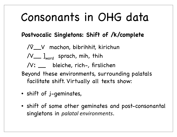## Consonants in OHG data

#### **Postvocalic Singletons: Shift of /k/complete**

- /V̆\_\_V machon, bibrihhit, kirichun
- $/V_{\text{mod}}$  sprach, mih, thih
- /Vː \_\_ bleiche, rich-, firslichen
- Beyond these environments, surrounding palatals facilitate shift. Virtually all texts show:
- shift of j-geminates,
- shift of some other geminates and post-consonantal singletons in *palatal environments*.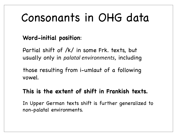# Consonants in OHG data

#### **Word-initial position**:

Partial shift of /k/ in some Frk. texts, but usually only in *palatal environments*, including

those resulting from i-umlaut of a following vowel.

#### **This is the extent of shift in Frankish texts.**

In Upper German texts shift is further generalized to non-palatal environments.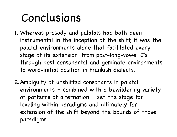## Conclusions

- 1. Whereas prosody and palatals had both been instrumental in the inception of the shift, it was the palatal environments alone that facilitated every stage of its extension—from post-long-vowel C's through post-consonantal and geminate environments to word-initial position in Frankish dialects.
- 2.Ambiguity of unshifted consonants in palatal environments – combined with a bewildering variety of patterns of alternation – set the stage for leveling within paradigms and ultimately for extension of the shift beyond the bounds of those paradigms.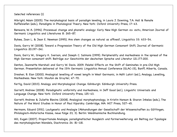Selected references (1)

Albright, Adam (2005). The morphological basis of paradigm leveling, in Laura J. Downing, T.A. Hall & Renate Raffelsiefen (eds.), Paradigms in Phonological Theory. New York: Oxford University Press, 17–43.

Benware, W. A. (1996). Processual change and phonetic analogy: Early New High German <s> <sch>, American Journal of Germanic Linguistics and Literatures 8: 265–87.

Bybee, Joan L. & Jean E. Newman (1995). Are stem changes as natural as affixes?, Linguistics 33: 633–54.

Davis, Garry W (2008). Toward a Progression Theory of the Old High German Consonant Shift, Journal of Germanic Linguistics 20.197–241.

Davis, Garry W., Gregory K. Iverson, and Joseph C. Salmons (1999). Peripherality and markedness in the spread of the High German consonant shift. Beiträge zur Geschichte der deutschen Sprache und Literatur 121.177-200.

Denton, Jeannette Marshall and Garry W. Davis. 2009. Palatal Effects on the Shift of Geminates in pre-Old High German. Presentation delivered at the 15th Germanic Linguistics Annual Conference (GLAC-15), Banff, Alberta, Canada.

Dresher, B. Elan (2000). Analogical levelling of vowel length in West Germanic, in Aditi Lahiri (ed.), Analogy, Levelling, Markedness. New York: Mouton de Gruyter, 47–70.

Fertig, David (2013). Analogy and Morphological Change. Edinburgh: Edinburgh University Press.

Garrett, Andrew (2008). Paradigmatic uniformity and markedness, in Jeff Good (ed.), Linguistic Universals and Language Change. New York: Oxford University Press, 125–43.

Garrett, Andrew & Juliette Blevins (2008). Analogical morphophonology, in Kristin Hanson & Sharon Inkelas (eds.), The Nature of the Word Studies in Honor of Paul Kiparsky. Cambridge, MA: MIT Press, 527–45.

Hermann, Eduard (1931). Lautgesetz und Analogie (Abhandlungen der Gesellschaft der Wissenschaften zu Göttingen, Philologisch-Historische Klasse, neue Folge 23, 3). Berlin: Weidmannsche Buchhandlung.

Hill, Eugen (2007). Proportionale Analogie, paradigmatischer Ausgleich und Formerweiterung: ein Beitrag zur Typologie des morphologischen Wandels, Diachronica 24: 81–118.